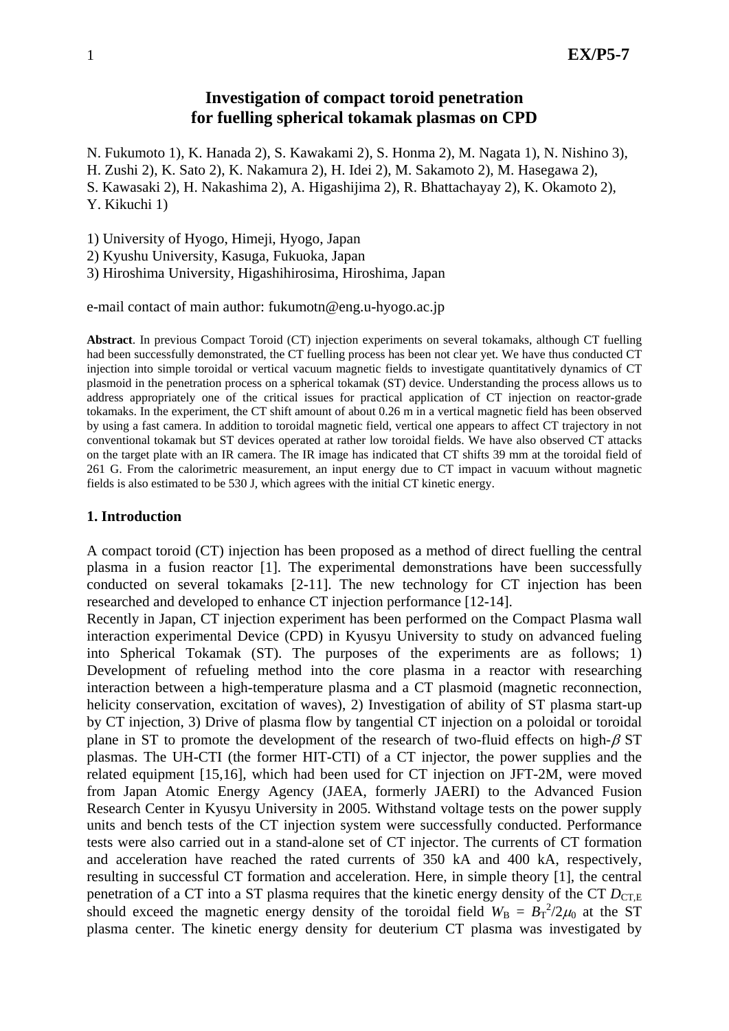# **Investigation of compact toroid penetration for fuelling spherical tokamak plasmas on CPD**

N. Fukumoto 1), K. Hanada 2), S. Kawakami 2), S. Honma 2), M. Nagata 1), N. Nishino 3),

H. Zushi 2), K. Sato 2), K. Nakamura 2), H. Idei 2), M. Sakamoto 2), M. Hasegawa 2),

S. Kawasaki 2), H. Nakashima 2), A. Higashijima 2), R. Bhattachayay 2), K. Okamoto 2), Y. Kikuchi 1)

1) University of Hyogo, Himeji, Hyogo, Japan

2) Kyushu University, Kasuga, Fukuoka, Japan

3) Hiroshima University, Higashihirosima, Hiroshima, Japan

e-mail contact of main author: fukumotn@eng.u-hyogo.ac.jp

**Abstract**. In previous Compact Toroid (CT) injection experiments on several tokamaks, although CT fuelling had been successfully demonstrated, the CT fuelling process has been not clear yet. We have thus conducted CT injection into simple toroidal or vertical vacuum magnetic fields to investigate quantitatively dynamics of CT plasmoid in the penetration process on a spherical tokamak (ST) device. Understanding the process allows us to address appropriately one of the critical issues for practical application of CT injection on reactor-grade tokamaks. In the experiment, the CT shift amount of about 0.26 m in a vertical magnetic field has been observed by using a fast camera. In addition to toroidal magnetic field, vertical one appears to affect CT trajectory in not conventional tokamak but ST devices operated at rather low toroidal fields. We have also observed CT attacks on the target plate with an IR camera. The IR image has indicated that CT shifts 39 mm at the toroidal field of 261 G. From the calorimetric measurement, an input energy due to CT impact in vacuum without magnetic fields is also estimated to be 530 J, which agrees with the initial CT kinetic energy.

### **1. Introduction**

A compact toroid (CT) injection has been proposed as a method of direct fuelling the central plasma in a fusion reactor [1]. The experimental demonstrations have been successfully conducted on several tokamaks [2-11]. The new technology for CT injection has been researched and developed to enhance CT injection performance [12-14].

Recently in Japan, CT injection experiment has been performed on the Compact Plasma wall interaction experimental Device (CPD) in Kyusyu University to study on advanced fueling into Spherical Tokamak (ST). The purposes of the experiments are as follows; 1) Development of refueling method into the core plasma in a reactor with researching interaction between a high-temperature plasma and a CT plasmoid (magnetic reconnection, helicity conservation, excitation of waves), 2) Investigation of ability of ST plasma start-up by CT injection, 3) Drive of plasma flow by tangential CT injection on a poloidal or toroidal plane in ST to promote the development of the research of two-fluid effects on high- $\beta$  ST plasmas. The UH-CTI (the former HIT-CTI) of a CT injector, the power supplies and the related equipment [15,16], which had been used for CT injection on JFT-2M, were moved from Japan Atomic Energy Agency (JAEA, formerly JAERI) to the Advanced Fusion Research Center in Kyusyu University in 2005. Withstand voltage tests on the power supply units and bench tests of the CT injection system were successfully conducted. Performance tests were also carried out in a stand-alone set of CT injector. The currents of CT formation and acceleration have reached the rated currents of 350 kA and 400 kA, respectively, resulting in successful CT formation and acceleration. Here, in simple theory [1], the central penetration of a CT into a ST plasma requires that the kinetic energy density of the CT  $D_{\text{CT-E}}$ should exceed the magnetic energy density of the toroidal field  $W_B = B_T^2/2\mu_0$  at the ST plasma center. The kinetic energy density for deuterium CT plasma was investigated by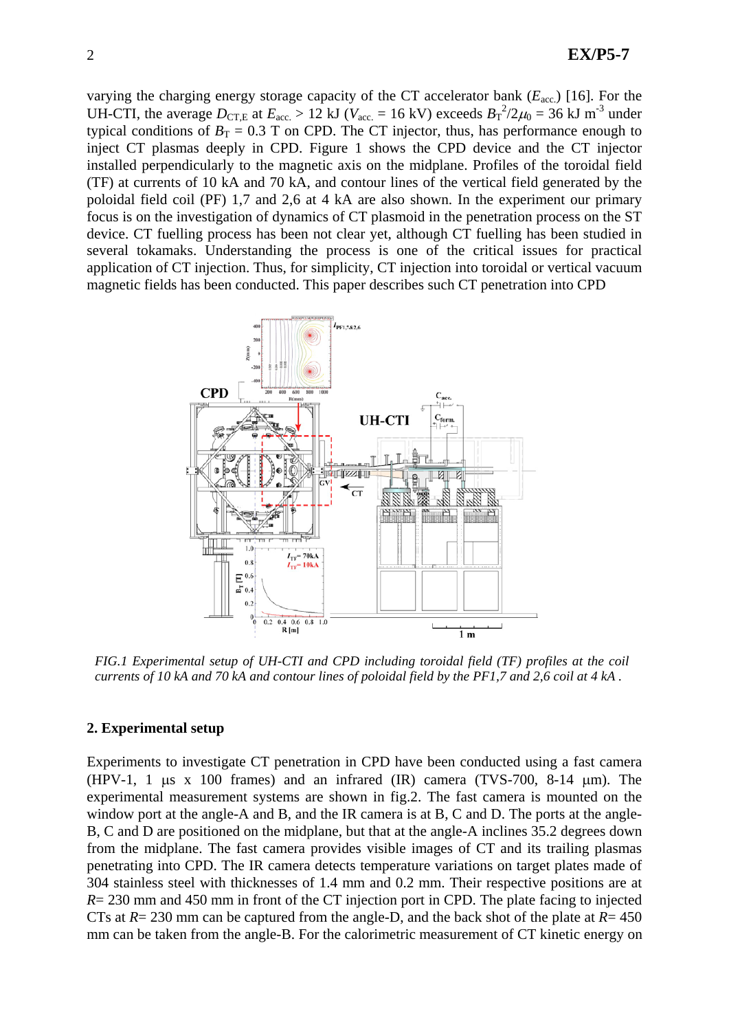varying the charging energy storage capacity of the CT accelerator bank (*E*acc.) [16]. For the UH-CTI, the average  $D_{\text{CT,E}}$  at  $E_{\text{acc}} > 12$  kJ ( $V_{\text{acc}} = 16$  kV) exceeds  $B_T^2/2\mu_0 = 36$  kJ m<sup>-3</sup> under typical conditions of  $B_T = 0.3$  T on CPD. The CT injector, thus, has performance enough to inject CT plasmas deeply in CPD. Figure 1 shows the CPD device and the CT injector installed perpendicularly to the magnetic axis on the midplane. Profiles of the toroidal field (TF) at currents of 10 kA and 70 kA, and contour lines of the vertical field generated by the poloidal field coil (PF) 1,7 and 2,6 at 4 kA are also shown. In the experiment our primary focus is on the investigation of dynamics of CT plasmoid in the penetration process on the ST device. CT fuelling process has been not clear yet, although CT fuelling has been studied in several tokamaks. Understanding the process is one of the critical issues for practical application of CT injection. Thus, for simplicity, CT injection into toroidal or vertical vacuum magnetic fields has been conducted. This paper describes such CT penetration into CPD



*FIG.1 Experimental setup of UH-CTI and CPD including toroidal field (TF) profiles at the coil currents of 10 kA and 70 kA and contour lines of poloidal field by the PF1,7 and 2,6 coil at 4 kA .* 

### **2. Experimental setup**

Experiments to investigate CT penetration in CPD have been conducted using a fast camera (HPV-1, 1  $\mu$ s x 100 frames) and an infrared (IR) camera (TVS-700, 8-14  $\mu$ m). The experimental measurement systems are shown in fig.2. The fast camera is mounted on the window port at the angle-A and B, and the IR camera is at B, C and D. The ports at the angle-B, C and D are positioned on the midplane, but that at the angle-A inclines 35.2 degrees down from the midplane. The fast camera provides visible images of CT and its trailing plasmas penetrating into CPD. The IR camera detects temperature variations on target plates made of 304 stainless steel with thicknesses of 1.4 mm and 0.2 mm. Their respective positions are at *R*= 230 mm and 450 mm in front of the CT injection port in CPD. The plate facing to injected CTs at *R*= 230 mm can be captured from the angle-D, and the back shot of the plate at *R*= 450 mm can be taken from the angle-B. For the calorimetric measurement of CT kinetic energy on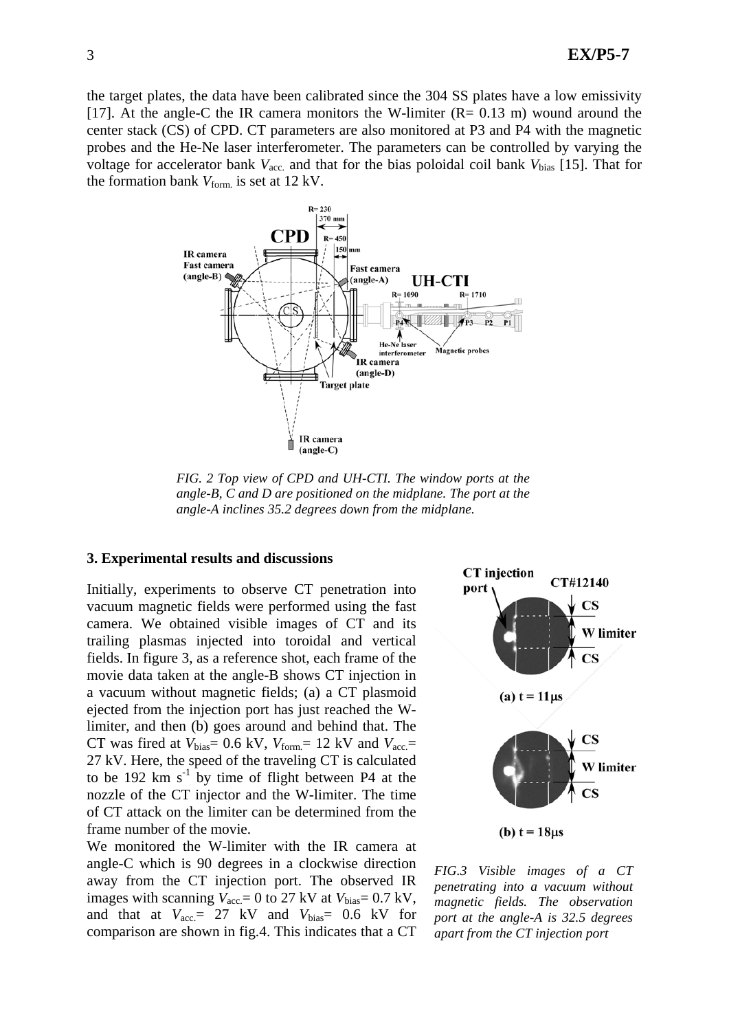the target plates, the data have been calibrated since the 304 SS plates have a low emissivity [17]. At the angle-C the IR camera monitors the W-limiter  $(R = 0.13 \text{ m})$  wound around the center stack (CS) of CPD. CT parameters are also monitored at P3 and P4 with the magnetic probes and the He-Ne laser interferometer. The parameters can be controlled by varying the voltage for accelerator bank  $V_{\text{acc}}$  and that for the bias poloidal coil bank  $V_{\text{bias}}$  [15]. That for the formation bank  $V_{form}$  is set at 12 kV.



*FIG. 2 Top view of CPD and UH-CTI. The window ports at the angle-B, C and D are positioned on the midplane. The port at the angle-A inclines 35.2 degrees down from the midplane.* 

#### **3. Experimental results and discussions**

Initially, experiments to observe CT penetration into vacuum magnetic fields were performed using the fast camera. We obtained visible images of CT and its trailing plasmas injected into toroidal and vertical fields. In figure 3, as a reference shot, each frame of the movie data taken at the angle-B shows CT injection in a vacuum without magnetic fields; (a) a CT plasmoid ejected from the injection port has just reached the Wlimiter, and then (b) goes around and behind that. The CT was fired at  $V_{bias} = 0.6 \text{ kV}$ ,  $V_{form} = 12 \text{ kV}$  and  $V_{acc} =$ 27 kV. Here, the speed of the traveling CT is calculated to be 192 km  $s^{-1}$  by time of flight between P4 at the nozzle of the CT injector and the W-limiter. The time of CT attack on the limiter can be determined from the frame number of the movie.

We monitored the W-limiter with the IR camera at angle-C which is 90 degrees in a clockwise direction away from the CT injection port. The observed IR images with scanning  $V_{\text{acc}} = 0$  to 27 kV at  $V_{\text{bias}} = 0.7 \text{ kV}$ , and that at  $V_{\text{acc}} = 27 \text{ kV}$  and  $V_{\text{bias}} = 0.6 \text{ kV}$  for comparison are shown in fig.4. This indicates that a CT



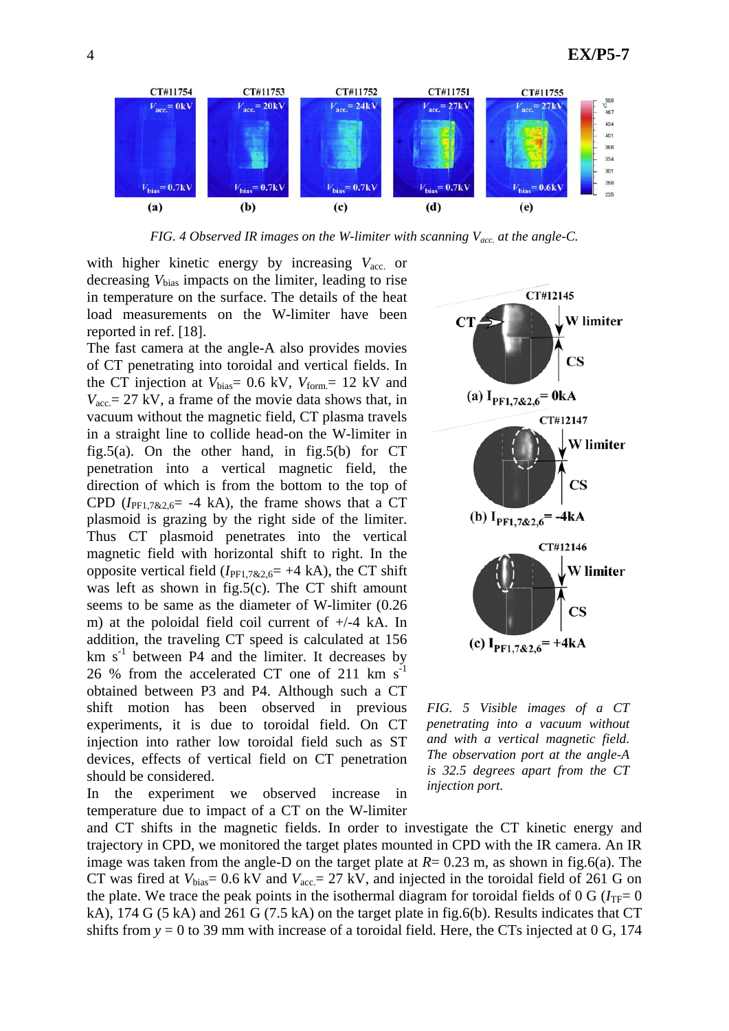

*FIG. 4 Observed IR images on the W-limiter with scanning Vacc. at the angle-C.* 

with higher kinetic energy by increasing  $V_{\text{acc}}$  or decreasing *V*bias impacts on the limiter, leading to rise in temperature on the surface. The details of the heat load measurements on the W-limiter have been reported in ref. [18].

The fast camera at the angle-A also provides movies of CT penetrating into toroidal and vertical fields. In the CT injection at  $V_{bias} = 0.6 \text{ kV}$ ,  $V_{form} = 12 \text{ kV}$  and  $V_{\text{acc}} = 27 \text{ kV}$ , a frame of the movie data shows that, in vacuum without the magnetic field, CT plasma travels in a straight line to collide head-on the W-limiter in fig.5(a). On the other hand, in fig.5(b) for  $CT$ penetration into a vertical magnetic field, the direction of which is from the bottom to the top of CPD ( $I_{\text{PE1,7&2,6}}$ = -4 kA), the frame shows that a CT plasmoid is grazing by the right side of the limiter. Thus CT plasmoid penetrates into the vertical magnetic field with horizontal shift to right. In the opposite vertical field  $(I_{\text{PE1.7&2.6}= +4 \text{ kA})$ , the CT shift was left as shown in fig.5(c). The CT shift amount seems to be same as the diameter of W-limiter (0.26 m) at the poloidal field coil current of +/-4 kA. In addition, the traveling CT speed is calculated at 156  $km s<sup>-1</sup>$  between P4 and the limiter. It decreases by 26 % from the accelerated CT one of 211  $km s^{-1}$ obtained between P3 and P4. Although such a CT shift motion has been observed in previous experiments, it is due to toroidal field. On CT injection into rather low toroidal field such as ST devices, effects of vertical field on CT penetration should be considered.

In the experiment we observed increase in temperature due to impact of a CT on the W-limiter



*FIG. 5 Visible images of a CT penetrating into a vacuum without and with a vertical magnetic field. The observation port at the angle-A is 32.5 degrees apart from the CT injection port.*

and CT shifts in the magnetic fields. In order to investigate the CT kinetic energy and trajectory in CPD, we monitored the target plates mounted in CPD with the IR camera. An IR image was taken from the angle-D on the target plate at  $R = 0.23$  m, as shown in fig.6(a). The CT was fired at  $V_{bias} = 0.6 \text{ kV}$  and  $V_{acc} = 27 \text{ kV}$ , and injected in the toroidal field of 261 G on the plate. We trace the peak points in the isothermal diagram for toroidal fields of 0 G ( $I_{TF}=0$ ) kA), 174 G (5 kA) and 261 G (7.5 kA) on the target plate in fig.6(b). Results indicates that CT shifts from  $y = 0$  to 39 mm with increase of a toroidal field. Here, the CTs injected at 0 G, 174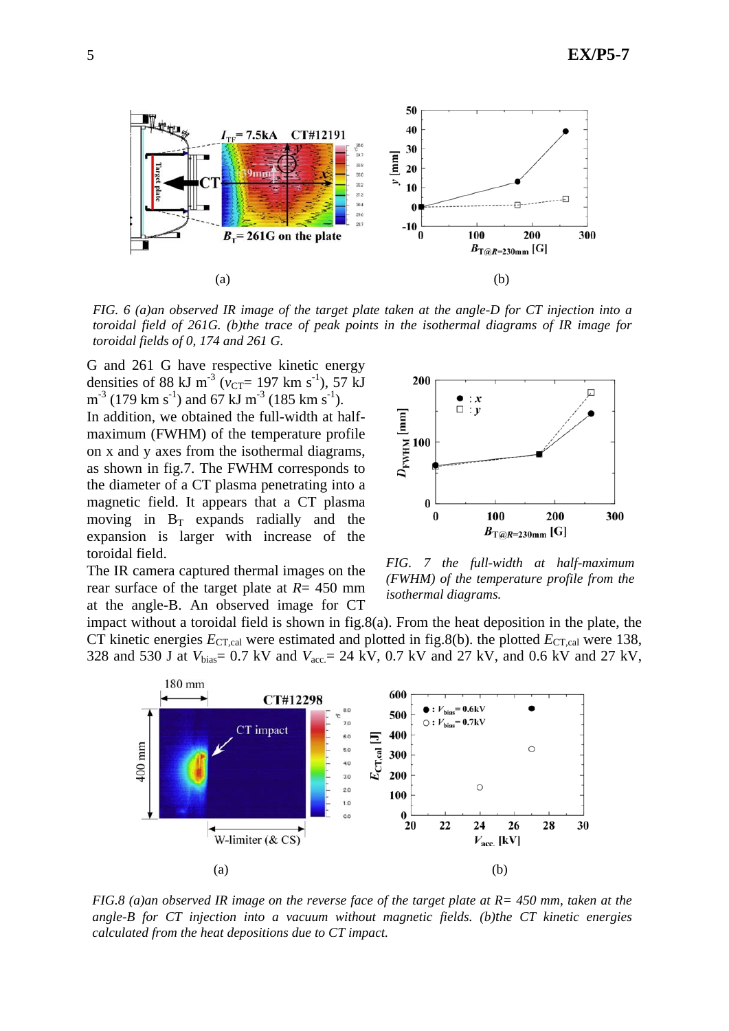

*FIG. 6 (a)an observed IR image of the target plate taken at the angle-D for CT injection into a toroidal field of 261G. (b)the trace of peak points in the isothermal diagrams of IR image for toroidal fields of 0, 174 and 261 G.* 

G and 261 G have respective kinetic energy densities of 88 kJ m<sup>-3</sup> ( $v_{CT}$ = 197 km s<sup>-1</sup>), 57 kJ  $m^{-3}$  (179 km s<sup>-1</sup>) and 67 kJ m<sup>-3</sup> (185 km s<sup>-1</sup>). In addition, we obtained the full-width at halfmaximum (FWHM) of the temperature profile on x and y axes from the isothermal diagrams, as shown in fig.7. The FWHM corresponds to the diameter of a CT plasma penetrating into a magnetic field. It appears that a CT plasma moving in  $B_T$  expands radially and the expansion is larger with increase of the toroidal field.

The IR camera captured thermal images on the rear surface of the target plate at *R*= 450 mm at the angle-B. An observed image for CT



*FIG. 7 the full-width at half-maximum (FWHM) of the temperature profile from the isothermal diagrams.* 

impact without a toroidal field is shown in fig.8(a). From the heat deposition in the plate, the CT kinetic energies  $E_{\text{CT,cal}}$  were estimated and plotted in fig.8(b). the plotted  $E_{\text{CT,cal}}$  were 138, 328 and 530 J at *V*bias= 0.7 kV and *V*acc.= 24 kV, 0.7 kV and 27 kV, and 0.6 kV and 27 kV,



*FIG.8 (a)an observed IR image on the reverse face of the target plate at R= 450 mm, taken at the angle-B for CT injection into a vacuum without magnetic fields. (b)the CT kinetic energies calculated from the heat depositions due to CT impact.*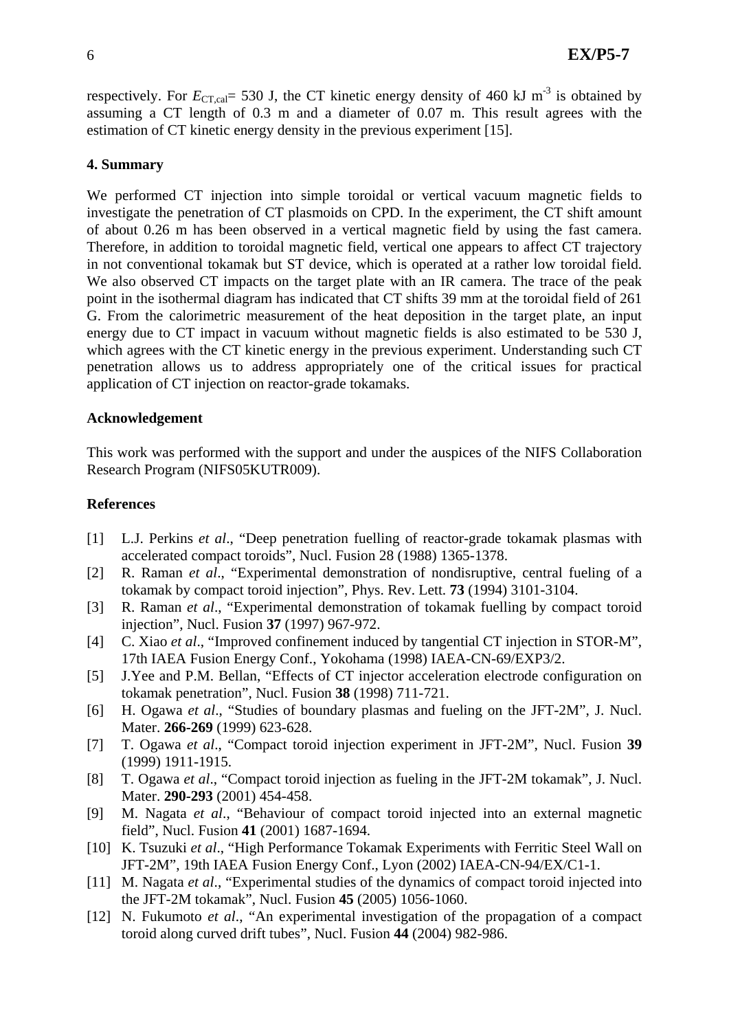respectively. For  $E_{CT,cal} = 530$  J, the CT kinetic energy density of 460 kJ m<sup>-3</sup> is obtained by assuming a CT length of 0.3 m and a diameter of 0.07 m. This result agrees with the estimation of CT kinetic energy density in the previous experiment [15].

# **4. Summary**

We performed CT injection into simple toroidal or vertical vacuum magnetic fields to investigate the penetration of CT plasmoids on CPD. In the experiment, the CT shift amount of about 0.26 m has been observed in a vertical magnetic field by using the fast camera. Therefore, in addition to toroidal magnetic field, vertical one appears to affect CT trajectory in not conventional tokamak but ST device, which is operated at a rather low toroidal field. We also observed CT impacts on the target plate with an IR camera. The trace of the peak point in the isothermal diagram has indicated that CT shifts 39 mm at the toroidal field of 261 G. From the calorimetric measurement of the heat deposition in the target plate, an input energy due to CT impact in vacuum without magnetic fields is also estimated to be 530 J, which agrees with the CT kinetic energy in the previous experiment. Understanding such CT penetration allows us to address appropriately one of the critical issues for practical application of CT injection on reactor-grade tokamaks.

## **Acknowledgement**

This work was performed with the support and under the auspices of the NIFS Collaboration Research Program (NIFS05KUTR009).

## **References**

- [1] L.J. Perkins *et al*., "Deep penetration fuelling of reactor-grade tokamak plasmas with accelerated compact toroids", Nucl. Fusion 28 (1988) 1365-1378.
- [2] R. Raman *et al*., "Experimental demonstration of nondisruptive, central fueling of a tokamak by compact toroid injection", Phys. Rev. Lett. **73** (1994) 3101-3104.
- [3] R. Raman *et al*., "Experimental demonstration of tokamak fuelling by compact toroid injection", Nucl. Fusion **37** (1997) 967-972.
- [4] C. Xiao *et al*., "Improved confinement induced by tangential CT injection in STOR-M", 17th IAEA Fusion Energy Conf., Yokohama (1998) IAEA-CN-69/EXP3/2.
- [5] J.Yee and P.M. Bellan, "Effects of CT injector acceleration electrode configuration on tokamak penetration", Nucl. Fusion **38** (1998) 711-721.
- [6] H. Ogawa *et al*., "Studies of boundary plasmas and fueling on the JFT-2M", J. Nucl. Mater. **266-269** (1999) 623-628.
- [7] T. Ogawa *et al*., "Compact toroid injection experiment in JFT-2M", Nucl. Fusion **39** (1999) 1911-1915.
- [8] T. Ogawa *et al*., "Compact toroid injection as fueling in the JFT-2M tokamak", J. Nucl. Mater. **290-293** (2001) 454-458.
- [9] M. Nagata *et al*., "Behaviour of compact toroid injected into an external magnetic field", Nucl. Fusion **41** (2001) 1687-1694.
- [10] K. Tsuzuki *et al*., "High Performance Tokamak Experiments with Ferritic Steel Wall on JFT-2M", 19th IAEA Fusion Energy Conf., Lyon (2002) IAEA-CN-94/EX/C1-1.
- [11] M. Nagata *et al*., "Experimental studies of the dynamics of compact toroid injected into the JFT-2M tokamak", Nucl. Fusion **45** (2005) 1056-1060.
- [12] N. Fukumoto *et al*., "An experimental investigation of the propagation of a compact toroid along curved drift tubes", Nucl. Fusion **44** (2004) 982-986.